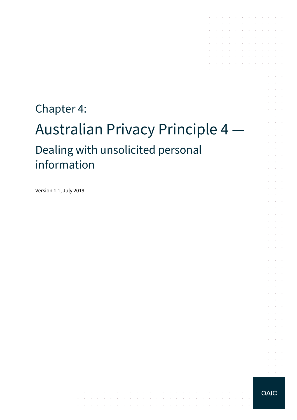# Chapter 4: Australian Privacy Principle 4 — Dealing with unsolicited personal information

 $\mathcal{A}$  is a set of the set of the set of the set of  $\mathcal{A}$ 

the contract of the contract of the contract of the contract of

المناقب والمتعارف والمتناقب والمتناقب والمتناقب والمتناقب والمتناقب والمناقب والمتناقب

the contract of the contract of the contract of

Version 1.1, July 2019

**OAIC** 

 $\sim 10^{-1}$ 

 $\mathcal{L}^{\text{max}}$  and  $\mathcal{L}^{\text{max}}$  $\alpha = \alpha + \beta$ 

the contract of the contract of the contract of

and a series of the contract of the series of

 $\sim 10^{-1}$ 

and a state

÷.  $\mathcal{L}^{\text{max}}$ 

÷.  $\Delta \sim 10^{-1}$ 

 $\sim$ **Service**  $\mathcal{L}^{\text{max}}$ 

 $\sim$  $\sim 10^{-10}$  km and a state

 $\sim$ **Contractor** and the control

 $\mathcal{L}^{\pm}$  $\alpha$  and  $\alpha$  $\mathcal{L}^{\text{max}}$  .

 $\sim$  $\sim 10^{-1}$  .

 $\mathcal{L}^{\text{max}}$  $\sim$  $\mathcal{L}^{\text{max}}$  and  $\mathcal{L}^{\text{max}}$ 

 $\alpha$  ,  $\beta$  ,  $\alpha$ and a state

 $\mathcal{L}^{\text{max}}$  $\sim 10^{-11}$  .

 $\sim$ 

the contract of the contract of

the control of the control of the conthe contract of the contract of the contract of  $\mathcal{A}$  . The second contribution of the second contribution of  $\mathcal{A}$  $\mathcal{L}^{\mathcal{A}}$  , where  $\mathcal{L}^{\mathcal{A}}$  is the contribution of the contribution of and a state of the state of the

 $\mathcal{L}^{\mathcal{A}}$  , where  $\mathcal{L}^{\mathcal{A}}$  , where  $\mathcal{L}^{\mathcal{A}}$  , where  $\mathcal{L}^{\mathcal{A}}$  , where  $\mathcal{L}^{\mathcal{A}}$ 

 $\sim$ 

 $\sim$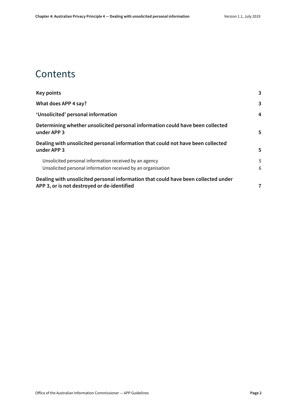### **Contents**

| <b>Key points</b>                                                                                                                 | 3 |
|-----------------------------------------------------------------------------------------------------------------------------------|---|
| What does APP 4 say?                                                                                                              | 3 |
| 'Unsolicited' personal information                                                                                                | 4 |
| Determining whether unsolicited personal information could have been collected<br>under APP 3                                     | 5 |
| Dealing with unsolicited personal information that could not have been collected<br>under APP 3                                   | 5 |
| Unsolicited personal information received by an agency                                                                            | 5 |
| Unsolicited personal information received by an organisation                                                                      | 6 |
| Dealing with unsolicited personal information that could have been collected under<br>APP 3, or is not destroyed or de-identified | 7 |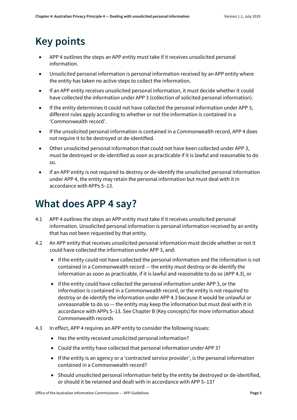# <span id="page-2-0"></span>**Key points**

- APP 4 outlines the steps an APP entity must take if it receives unsolicited personal information.
- Unsolicited personal information is personal information received by an APP entity where the entity has taken no active steps to collect the information.
- If an APP entity receives unsolicited personal information, it must decide whether it could have collected the information under APP 3 (collection of solicited personal information).
- If the entity determines it could not have collected the personal information under APP 3, different rules apply according to whether or not the information is contained in a 'Commonwealth record'.
- If the unsolicited personal information is contained in a Commonwealth record, APP 4 does not require it to be destroyed or de-identified.
- Other unsolicited personal information that could not have been collected under APP 3, must be destroyed or de-identified as soon as practicable if it is lawful and reasonable to do so.
- If an APP entity is not required to destroy or de-identify the unsolicited personal information under APP 4, the entity may retain the personal information but must deal with it in accordance with APPs 5–13.

### <span id="page-2-1"></span>**What does APP 4 say?**

- 4.1 APP 4 outlines the steps an APP entity must take if it receives unsolicited personal information. Unsolicited personal information is personal information received by an entity that has not been requested by that entity.
- 4.2 An APP entity that receives unsolicited personal information must decide whether or not it could have collected the information under APP 3, and:
	- if the entity could not have collected the personal information and the information is not contained in a Commonwealth record — the entity must destroy or de-identify the information as soon as practicable, if it is lawful and reasonable to do so (APP 4.3), or
	- if the entity could have collected the personal information under APP 3, or the information is contained in a Commonwealth record, or the entity is not required to destroy or de-identify the information under APP 4.3 because it would be unlawful or unreasonable to do so — the entity may keep the information but must deal with it in accordance with APPs 5–13. See Chapter B (Key concepts) for more information about Commonwealth records
- 4.3 In effect, APP 4 requires an APP entity to consider the following issues:
	- Has the entity received unsolicited personal information?
	- Could the entity have collected that personal information under APP 3?
	- If the entity is an agency or a 'contracted service provider', is the personal information contained in a Commonwealth record?
	- Should unsolicited personal information held by the entity be destroyed or de-identified, or should it be retained and dealt with in accordance with APP 5–13?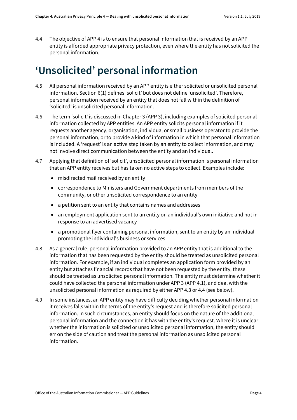4.4 The objective of APP 4 is to ensure that personal information that is received by an APP entity is afforded appropriate privacy protection, even where the entity has not solicited the personal information.

# <span id="page-3-0"></span>**'Unsolicited' personal information**

- 4.5 All personal information received by an APP entity is either solicited or unsolicited personal information. Section 6(1) defines 'solicit' but does not define 'unsolicited'. Therefore, personal information received by an entity that does not fall within the definition of 'solicited' is unsolicited personal information.
- 4.6 The term 'solicit' is discussed in Chapter 3 (APP 3), including examples of solicited personal information collected by APP entities. An APP entity solicits personal information if it requests another agency, organisation, individual or small business operator to provide the personal information, or to provide a kind of information in which that personal information is included. A 'request' is an active step taken by an entity to collect information, and may not involve direct communication between the entity and an individual.
- 4.7 Applying that definition of 'solicit', unsolicited personal information is personal information that an APP entity receives but has taken no active steps to collect. Examples include:
	- misdirected mail received by an entity
	- correspondence to Ministers and Government departments from members of the community, or other unsolicited correspondence to an entity
	- a petition sent to an entity that contains names and addresses
	- an employment application sent to an entity on an individual's own initiative and not in response to an advertised vacancy
	- a promotional flyer containing personal information, sent to an entity by an individual promoting the individual's business or services.
- 4.8 As a general rule, personal information provided to an APP entity that is additional to the information that has been requested by the entity should be treated as unsolicited personal information. For example, if an individual completes an application form provided by an entity but attaches financial records that have not been requested by the entity, these should be treated as unsolicited personal information. The entity must determine whether it could have collected the personal information under APP 3 (APP 4.1), and deal with the unsolicited personal information as required by either APP 4.3 or 4.4 (see below).
- 4.9 In some instances, an APP entity may have difficulty deciding whether personal information it receives falls within the terms of the entity's request and is therefore solicited personal information. In such circumstances, an entity should focus on the nature of the additional personal information and the connection it has with the entity's request. Where it is unclear whether the information is solicited or unsolicited personal information, the entity should err on the side of caution and treat the personal information as unsolicited personal information.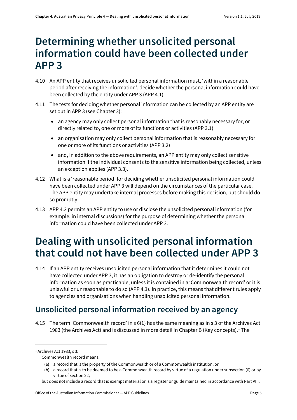### <span id="page-4-0"></span>**Determining whether unsolicited personal information could have been collected under APP 3**

- 4.10 An APP entity that receives unsolicited personal information must, 'within a reasonable period after receiving the information', decide whether the personal information could have been collected by the entity under APP 3 (APP 4.1).
- 4.11 The tests for deciding whether personal information can be collected by an APP entity are set out in APP 3 (see Chapter 3):
	- an agency may only collect personal information that is reasonably necessary for, or directly related to, one or more of its functions or activities (APP 3.1)
	- an organisation may only collect personal information that is reasonably necessary for one or more of its functions or activities (APP 3.2)
	- and, in addition to the above requirements, an APP entity may only collect sensitive information if the individual consents to the sensitive information being collected, unless an exception applies (APP 3.3).
- 4.12 What is a 'reasonable period' for deciding whether unsolicited personal information could have been collected under APP 3 will depend on the circumstances of the particular case. The APP entity may undertake internal processes before making this decision, but should do so promptly.
- 4.13 APP 4.2 permits an APP entity to use or disclose the unsolicited personal information (for example, in internal discussions) for the purpose of determining whether the personal information could have been collected under APP 3.

# <span id="page-4-1"></span>**Dealing with unsolicited personal information that could not have been collected under APP 3**

4.14 If an APP entity receives unsolicited personal information that it determines it could not have collected under APP 3, it has an obligation to destroy or de-identify the personal information as soon as practicable, unless it is contained in a 'Commonwealth record' or it is unlawful or unreasonable to do so (APP 4.3). In practice, this means that different rules apply to agencies and organisations when handling unsolicited personal information.

#### <span id="page-4-2"></span>**Unsolicited personal information received by an agency**

4.15 The term 'Commonwealth record' in s 6(1) has the same meaning as in s 3 of the Archives Act 1983 (the Archives Act) and is discussed in more detail in Chapter B (Key concepts).[1](#page-4-3) The

 $\overline{a}$ 

<span id="page-4-3"></span><sup>&</sup>lt;sup>1</sup> Archives Act 1983, s 3:

Commonwealth record means:

<sup>(</sup>a) a record that is the property of the Commonwealth or of a Commonwealth institution; or

<sup>(</sup>b) a record that is to be deemed to be a Commonwealth record by virtue of a regulation under subsection (6) or by virtue of section 22;

but does not include a record that is exempt material or is a register or guide maintained in accordance with Part VIII.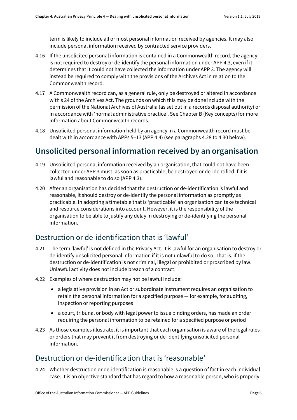term is likely to include all or most personal information received by agencies. It may also include personal information received by contracted service providers.

- 4.16 If the unsolicited personal information is contained in a Commonwealth record, the agency is not required to destroy or de-identify the personal information under APP 4.3, even if it determines that it could not have collected the information under APP 3. The agency will instead be required to comply with the provisions of the Archives Act in relation to the Commonwealth record.
- 4.17 A Commonwealth record can, as a general rule, only be destroyed or altered in accordance with s 24 of the Archives Act. The grounds on which this may be done include with the permission of the National Archives of Australia (as set out in a records disposal authority) or in accordance with 'normal administrative practice'. See Chapter B (Key concepts) for more information about Commonwealth records.
- 4.18 Unsolicited personal information held by an agency in a Commonwealth record must be dealt with in accordance with APPs 5–13 (APP 4.4) (see paragraphs [4.28](#page-6-1) t[o 4.30](#page-7-0) below).

#### <span id="page-5-0"></span>**Unsolicited personal information received by an organisation**

- 4.19 Unsolicited personal information received by an organisation, that could not have been collected under APP 3 must, as soon as practicable, be destroyed or de-identified if it is lawful and reasonable to do so (APP 4.3).
- 4.20 After an organisation has decided that the destruction or de-identification is lawful and reasonable, it should destroy or de-identify the personal information as promptly as practicable. In adopting a timetable that is 'practicable' an organisation can take technical and resource considerations into account. However, it is the responsibility of the organisation to be able to justify any delay in destroying or de-identifying the personal information.

#### Destruction or de-identification that is 'lawful'

- 4.21 The term 'lawful' is not defined in the Privacy Act. It is lawful for an organisation to destroy or de-identify unsolicited personal information if it is not unlawful to do so. That is, if the destruction or de-identification is not criminal, illegal or prohibited or proscribed by law. Unlawful activity does not include breach of a contract.
- 4.22 Examples of where destruction may not be lawful include:
	- a legislative provision in an Act or subordinate instrument requires an organisation to retain the personal information for a specified purpose — for example, for auditing, inspection or reporting purposes
	- a court, tribunal or body with legal power to issue binding orders, has made an order requiring the personal information to be retained for a specified purpose or period
- 4.23 As those examples illustrate, it is important that each organisation is aware of the legal rules or orders that may prevent it from destroying or de-identifying unsolicited personal information.

#### Destruction or de-identification that is 'reasonable'

4.24 Whether destruction or de-identification is reasonable is a question of fact in each individual case. It is an objective standard that has regard to how a reasonable person, who is properly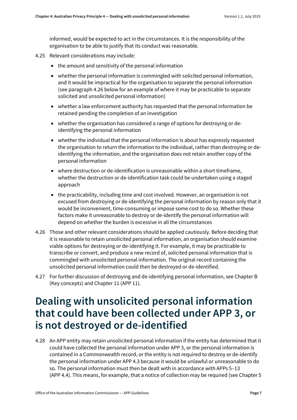informed, would be expected to act in the circumstances. It is the responsibility of the organisation to be able to justify that its conduct was reasonable.

- 4.25 Relevant considerations may include:
	- the amount and sensitivity of the personal information
	- whether the personal information is commingled with solicited personal information, and it would be impractical for the organisation to separate the personal information (see paragrap[h 4.26](#page-6-2) below for an example of where it may be practicable to separate solicited and unsolicited personal information)
	- whether a law enforcement authority has requested that the personal information be retained pending the completion of an investigation
	- whether the organisation has considered a range of options for destroying or deidentifying the personal information
	- whether the individual that the personal information is about has expressly requested the organisation to return the information to the individual, rather than destroying or deidentifying the information, and the organisation does not retain another copy of the personal information
	- where destruction or de-identification is unreasonable within a short timeframe, whether the destruction or de-identification task could be undertaken using a staged approach
	- the practicability, including time and cost involved. However, an organisation is not excused from destroying or de-identifying the personal information by reason only that it would be inconvenient, time-consuming or impose some cost to do so. Whether these factors make it unreasonable to destroy or de-identify the personal information will depend on whether the burden is excessive in all the circumstances
- <span id="page-6-2"></span>4.26 Those and other relevant considerations should be applied cautiously. Before deciding that it is reasonable to retain unsolicited personal information, an organisation should examine viable options for destroying or de-identifying it. For example, it may be practicable to transcribe or convert, and produce a new record of, solicited personal information that is commingled with unsolicited personal information. The original record containing the unsolicited personal information could then be destroyed or de-identified.
- 4.27 For further discussion of destroying and de-identifying personal information, see Chapter B (Key concepts) and Chapter 11 (APP 11).

### <span id="page-6-0"></span>**Dealing with unsolicited personal information that could have been collected under APP 3, or is not destroyed or de-identified**

<span id="page-6-1"></span>4.28 An APP entity may retain unsolicited personal information if the entity has determined that it could have collected the personal information under APP 3, or the personal information is contained in a Commonwealth record, or the entity is not required to destroy or de-identify the personal information under APP 4.3 because it would be unlawful or unreasonable to do so. The personal information must then be dealt with in accordance with APPs 5–13 (APP 4.4). This means, for example, that a notice of collection may be required (see Chapter 5